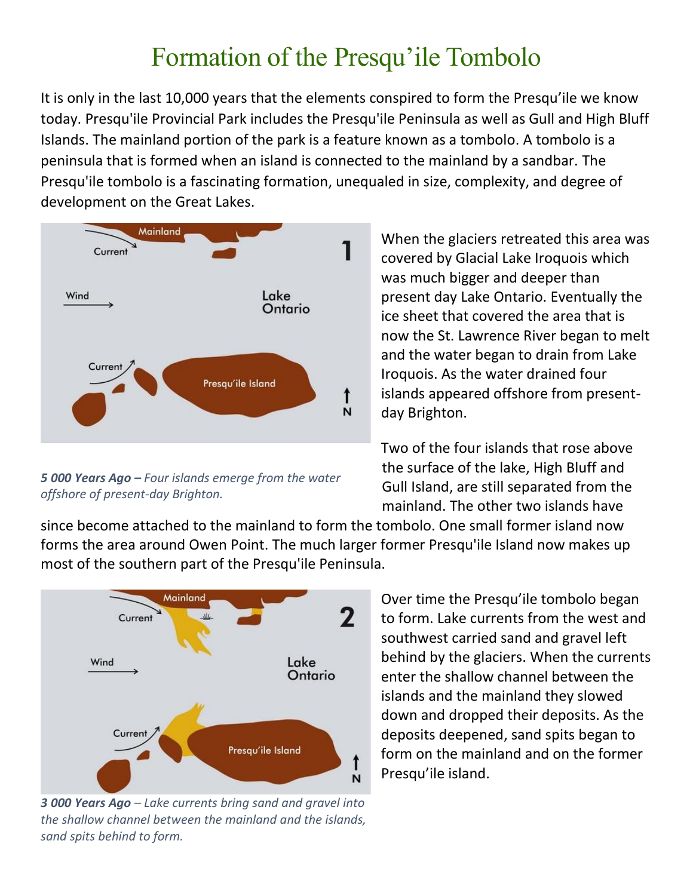## Formation of the Presqu'ile Tombolo

It is only in the last 10,000 years that the elements conspired to form the Presqu'ile we know today. Presqu'ile Provincial Park includes the Presqu'ile Peninsula as well as Gull and High Bluff Islands. The mainland portion of the park is a feature known as a tombolo. A tombolo is a peninsula that is formed when an island is connected to the mainland by a sandbar. The Presqu'ile tombolo is a fascinating formation, unequaled in size, complexity, and degree of development on the Great Lakes.



*5 000 Years Ago – Four islands emerge from the water offshore of present-day Brighton.* 

When the glaciers retreated this area was covered by Glacial Lake Iroquois which was much bigger and deeper than present day Lake Ontario. Eventually the ice sheet that covered the area that is now the St. Lawrence River began to melt and the water began to drain from Lake Iroquois. As the water drained four islands appeared offshore from presentday Brighton.

Two of the four islands that rose above the surface of the lake, High Bluff and Gull Island, are still separated from the mainland. The other two islands have

since become attached to the mainland to form the tombolo. One small former island now forms the area around Owen Point. The much larger former Presqu'ile Island now makes up most of the southern part of the Presqu'ile Peninsula.



*3 000 Years Ago – Lake currents bring sand and gravel into the shallow channel between the mainland and the islands, sand spits behind to form.* 

Over time the Presqu'ile tombolo began to form. Lake currents from the west and southwest carried sand and gravel left behind by the glaciers. When the currents enter the shallow channel between the islands and the mainland they slowed down and dropped their deposits. As the deposits deepened, sand spits began to form on the mainland and on the former Presqu'ile island.